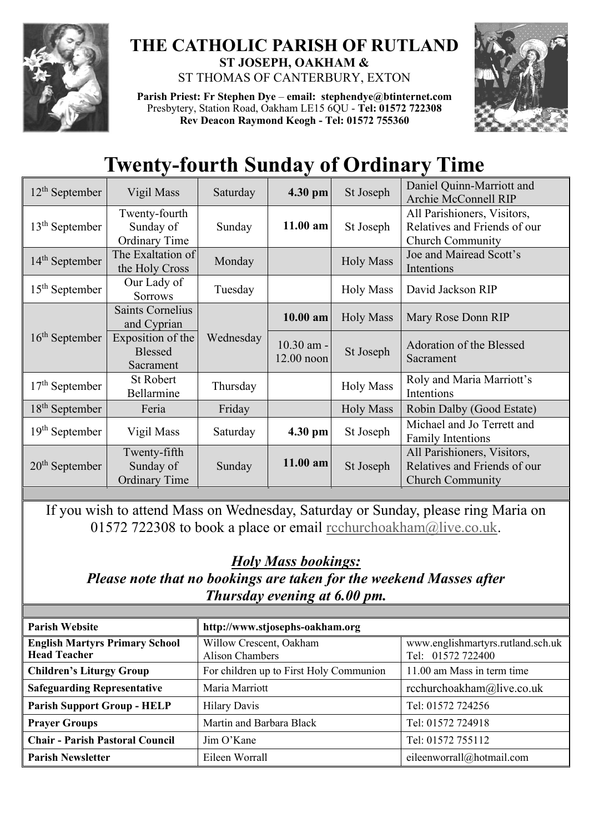

## **THE CATHOLIC PARISH OF RUTLAND ST JOSEPH, OAKHAM &**  ST THOMAS OF CANTERBURY, EXTON

**Parish Priest: Fr Stephen Dye** – **[email: stephendye@btinternet.com](mailto:email:%20%20stephendye@btinternet.com)** Presbytery, Station Road, Oakham LE15 6QU - **Tel: 01572 722308 Rev Deacon Raymond Keogh - Tel: 01572 755360**



## **Twenty-fourth Sunday of Ordinary Time**

| $12th$ September           | Vigil Mass                                         | Saturday  | 4.30 pm                  | St Joseph        | Daniel Quinn-Marriott and<br>Archie McConnell RIP                                      |
|----------------------------|----------------------------------------------------|-----------|--------------------------|------------------|----------------------------------------------------------------------------------------|
| 13 <sup>th</sup> September | Twenty-fourth<br>Sunday of<br><b>Ordinary Time</b> | Sunday    | $11.00$ am               | St Joseph        | All Parishioners, Visitors,<br>Relatives and Friends of our<br><b>Church Community</b> |
| $14th$ September           | The Exaltation of<br>the Holy Cross                | Monday    |                          | <b>Holy Mass</b> | Joe and Mairead Scott's<br>Intentions                                                  |
| $15th$ September           | Our Lady of<br><b>Sorrows</b>                      | Tuesday   |                          | <b>Holy Mass</b> | David Jackson RIP                                                                      |
| $16th$ September           | <b>Saints Cornelius</b><br>and Cyprian             | Wednesday | $10.00$ am               | <b>Holy Mass</b> | Mary Rose Donn RIP                                                                     |
|                            | Exposition of the<br><b>Blessed</b><br>Sacrament   |           | 10.30 am -<br>12.00 noon | St Joseph        | <b>Adoration of the Blessed</b><br>Sacrament                                           |
| $17th$ September           | <b>St Robert</b><br>Bellarmine                     | Thursday  |                          | <b>Holy Mass</b> | Roly and Maria Marriott's<br>Intentions                                                |
| $18th$ September           | Feria                                              | Friday    |                          | <b>Holy Mass</b> | Robin Dalby (Good Estate)                                                              |
| $19th$ September           | Vigil Mass                                         | Saturday  | 4.30 pm                  | St Joseph        | Michael and Jo Terrett and<br><b>Family Intentions</b>                                 |
| $20th$ September           | Twenty-fifth<br>Sunday of<br><b>Ordinary Time</b>  | Sunday    | 11.00 am                 | St Joseph        | All Parishioners, Visitors,<br>Relatives and Friends of our<br><b>Church Community</b> |

If you wish to attend Mass on Wednesday, Saturday or Sunday, please ring Maria on 01572 722308 to book a place or email rechurchoakham@live.co.uk.

## *Holy Mass bookings:*

*Please note that no bookings are taken for the weekend Masses after Thursday evening at 6.00 pm.*

| <b>Parish Website</b>                                        | http://www.stjosephs-oakham.org            |                                                        |  |  |
|--------------------------------------------------------------|--------------------------------------------|--------------------------------------------------------|--|--|
| <b>English Martyrs Primary School</b><br><b>Head Teacher</b> | Willow Crescent, Oakham<br>Alison Chambers | www.englishmartyrs.rutland.sch.uk<br>Tel: 01572 722400 |  |  |
| <b>Children's Liturgy Group</b>                              | For children up to First Holy Communion    | 11.00 am Mass in term time                             |  |  |
| <b>Safeguarding Representative</b>                           | Maria Marriott                             | rcchurchoakham@live.co.uk                              |  |  |
| <b>Parish Support Group - HELP</b>                           | <b>Hilary Davis</b>                        | Tel: 01572 724256                                      |  |  |
| <b>Prayer Groups</b>                                         | Martin and Barbara Black                   | Tel: 01572 724918                                      |  |  |
| <b>Chair - Parish Pastoral Council</b>                       | Jim O'Kane                                 | Tel: 01572 755112                                      |  |  |
| <b>Parish Newsletter</b>                                     | Eileen Worrall                             | eileenworrall@hotmail.com                              |  |  |